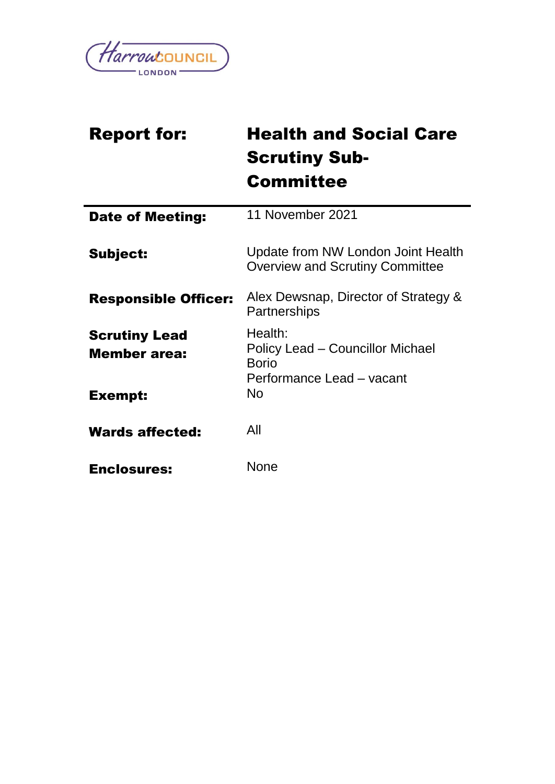

| <b>Report for:</b>                          | <b>Health and Social Care</b>                                                            |
|---------------------------------------------|------------------------------------------------------------------------------------------|
|                                             | <b>Scrutiny Sub-</b>                                                                     |
|                                             | <b>Committee</b>                                                                         |
| <b>Date of Meeting:</b>                     | 11 November 2021                                                                         |
| Subject:                                    | Update from NW London Joint Health<br><b>Overview and Scrutiny Committee</b>             |
| <b>Responsible Officer:</b>                 | Alex Dewsnap, Director of Strategy &<br>Partnerships                                     |
| <b>Scrutiny Lead</b><br><b>Member area:</b> | Health:<br>Policy Lead – Councillor Michael<br><b>Borio</b><br>Performance Lead - vacant |
| Exempt:                                     | <b>No</b>                                                                                |
| <b>Wards affected:</b>                      | All                                                                                      |
| <b>Enclosures:</b>                          | <b>None</b>                                                                              |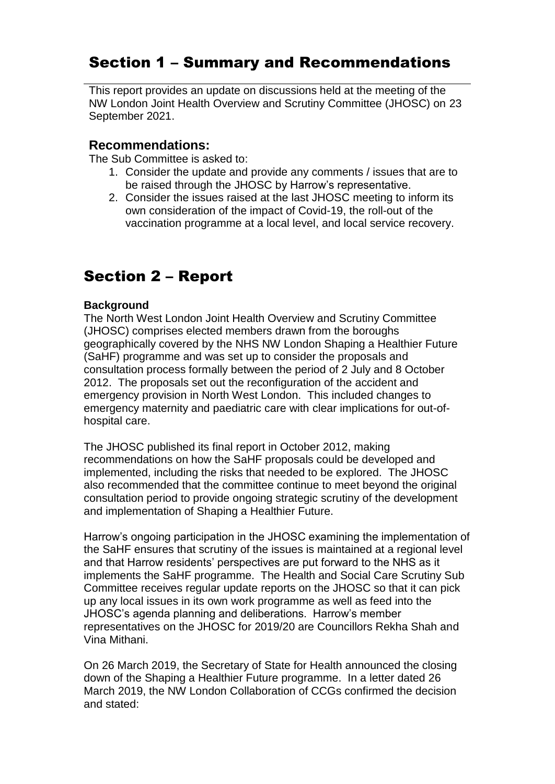# Section 1 – Summary and Recommendations

This report provides an update on discussions held at the meeting of the NW London Joint Health Overview and Scrutiny Committee (JHOSC) on 23 September 2021.

## **Recommendations:**

The Sub Committee is asked to:

- 1. Consider the update and provide any comments / issues that are to be raised through the JHOSC by Harrow's representative.
- 2. Consider the issues raised at the last JHOSC meeting to inform its own consideration of the impact of Covid-19, the roll-out of the vaccination programme at a local level, and local service recovery.

# Section 2 – Report

#### **Background**

The North West London Joint Health Overview and Scrutiny Committee (JHOSC) comprises elected members drawn from the boroughs geographically covered by the NHS NW London Shaping a Healthier Future (SaHF) programme and was set up to consider the proposals and consultation process formally between the period of 2 July and 8 October 2012. The proposals set out the reconfiguration of the accident and emergency provision in North West London. This included changes to emergency maternity and paediatric care with clear implications for out-ofhospital care.

The JHOSC published its final report in October 2012, making recommendations on how the SaHF proposals could be developed and implemented, including the risks that needed to be explored. The JHOSC also recommended that the committee continue to meet beyond the original consultation period to provide ongoing strategic scrutiny of the development and implementation of Shaping a Healthier Future.

Harrow's ongoing participation in the JHOSC examining the implementation of the SaHF ensures that scrutiny of the issues is maintained at a regional level and that Harrow residents' perspectives are put forward to the NHS as it implements the SaHF programme. The Health and Social Care Scrutiny Sub Committee receives regular update reports on the JHOSC so that it can pick up any local issues in its own work programme as well as feed into the JHOSC's agenda planning and deliberations. Harrow's member representatives on the JHOSC for 2019/20 are Councillors Rekha Shah and Vina Mithani.

On 26 March 2019, the Secretary of State for Health announced the closing down of the Shaping a Healthier Future programme. In a letter dated 26 March 2019, the NW London Collaboration of CCGs confirmed the decision and stated: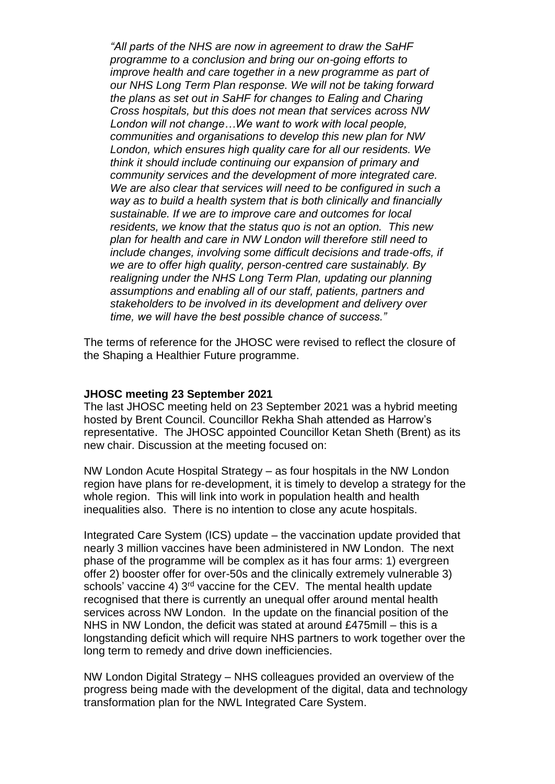*"All parts of the NHS are now in agreement to draw the SaHF programme to a conclusion and bring our on-going efforts to improve health and care together in a new programme as part of our NHS Long Term Plan response. We will not be taking forward the plans as set out in SaHF for changes to Ealing and Charing Cross hospitals, but this does not mean that services across NW London will not change…We want to work with local people, communities and organisations to develop this new plan for NW London, which ensures high quality care for all our residents. We think it should include continuing our expansion of primary and community services and the development of more integrated care. We are also clear that services will need to be configured in such a way as to build a health system that is both clinically and financially sustainable. If we are to improve care and outcomes for local residents, we know that the status quo is not an option. This new plan for health and care in NW London will therefore still need to include changes, involving some difficult decisions and trade-offs, if we are to offer high quality, person-centred care sustainably. By realigning under the NHS Long Term Plan, updating our planning assumptions and enabling all of our staff, patients, partners and stakeholders to be involved in its development and delivery over time, we will have the best possible chance of success."*

The terms of reference for the JHOSC were revised to reflect the closure of the Shaping a Healthier Future programme.

#### **JHOSC meeting 23 September 2021**

The last JHOSC meeting held on 23 September 2021 was a hybrid meeting hosted by Brent Council. Councillor Rekha Shah attended as Harrow's representative. The JHOSC appointed Councillor Ketan Sheth (Brent) as its new chair. Discussion at the meeting focused on:

NW London Acute Hospital Strategy – as four hospitals in the NW London region have plans for re-development, it is timely to develop a strategy for the whole region. This will link into work in population health and health inequalities also. There is no intention to close any acute hospitals.

Integrated Care System (ICS) update – the vaccination update provided that nearly 3 million vaccines have been administered in NW London. The next phase of the programme will be complex as it has four arms: 1) evergreen offer 2) booster offer for over-50s and the clinically extremely vulnerable 3) schools' vaccine 4) 3<sup>rd</sup> vaccine for the CEV. The mental health update recognised that there is currently an unequal offer around mental health services across NW London. In the update on the financial position of the NHS in NW London, the deficit was stated at around £475mill – this is a longstanding deficit which will require NHS partners to work together over the long term to remedy and drive down inefficiencies.

NW London Digital Strategy – NHS colleagues provided an overview of the progress being made with the development of the digital, data and technology transformation plan for the NWL Integrated Care System.